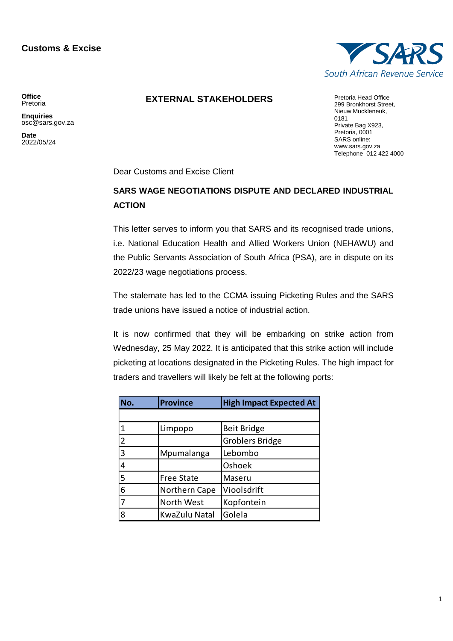## **Customs & Excise**



## **EXTERNAL STAKEHOLDERS** Pretoria Head Office

**Office** Pretoria

**Enquiries** osc@sars.gov.za

**Date** 2022/05/24

299 Bronkhorst Street, Nieuw Muckleneuk, 0181 Private Bag X923, Pretoria, 0001 SARS online: [www.sars.gov.za](http://www.sars.gov.za/) Telephone 012 422 4000

Dear Customs and Excise Client

## **SARS WAGE NEGOTIATIONS DISPUTE AND DECLARED INDUSTRIAL ACTION**

This letter serves to inform you that SARS and its recognised trade unions, i.e. National Education Health and Allied Workers Union (NEHAWU) and the Public Servants Association of South Africa (PSA), are in dispute on its 2022/23 wage negotiations process.

The stalemate has led to the CCMA issuing Picketing Rules and the SARS trade unions have issued a notice of industrial action.

It is now confirmed that they will be embarking on strike action from Wednesday, 25 May 2022. It is anticipated that this strike action will include picketing at locations designated in the Picketing Rules. The high impact for traders and travellers will likely be felt at the following ports:

| No.            | <b>Province</b>   | <b>High Impact Expected At</b> |
|----------------|-------------------|--------------------------------|
|                |                   |                                |
|                | Limpopo           | Beit Bridge                    |
| $\overline{2}$ |                   | <b>Groblers Bridge</b>         |
| 3              | Mpumalanga        | Lebombo                        |
| 4              |                   | Oshoek                         |
| 5              | <b>Free State</b> | Maseru                         |
| 6              | Northern Cape     | Vioolsdrift                    |
|                | North West        | Kopfontein                     |
| 8              | KwaZulu Natal     | Golela                         |